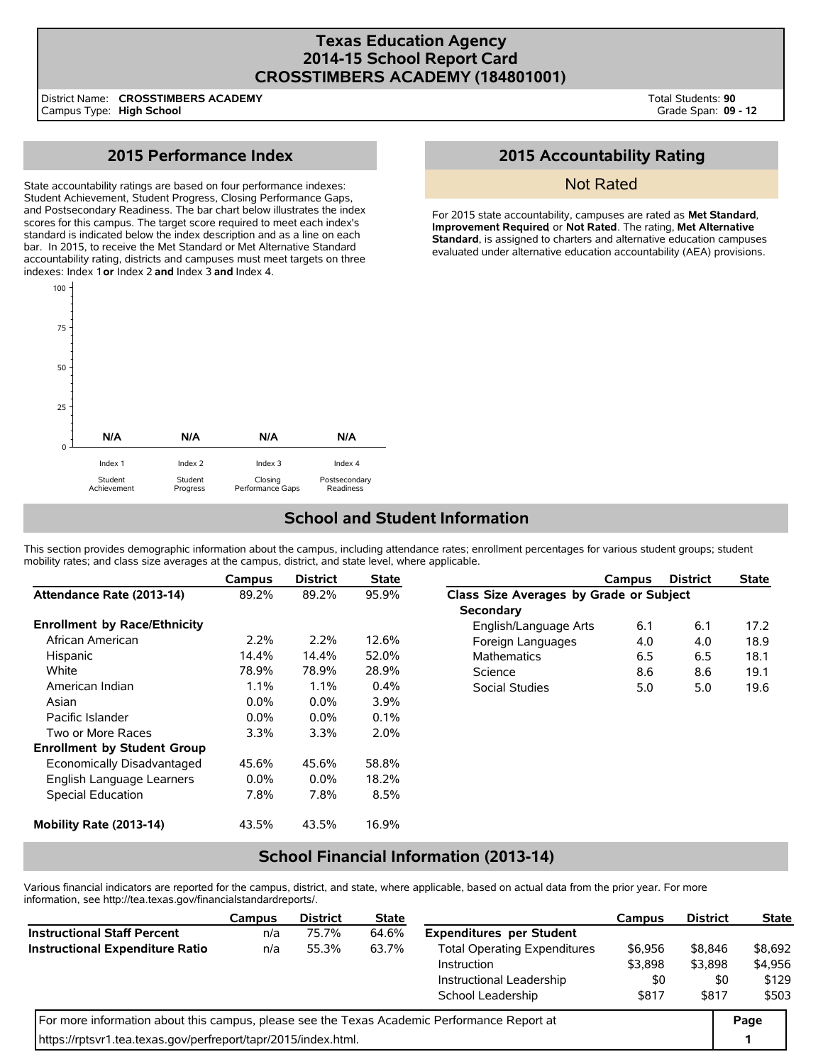## **Texas Education Agency 2014-15 School Report Card CROSSTIMBERS ACADEMY (184801001)**

District Name: Campus Type: **High School CROSSTIMBERS ACADEMY** Total Students: **90** Grade Span: **09 - 12**

# **2015 Performance Index**

State accountability ratings are based on four performance indexes: Student Achievement, Student Progress, Closing Performance Gaps, and Postsecondary Readiness. The bar chart below illustrates the index scores for this campus. The target score required to meet each index's standard is indicated below the index description and as a line on each bar. In 2015, to receive the Met Standard or Met Alternative Standard accountability rating, districts and campuses must meet targets on three indexes: Index 1 **or** Index 2 **and** Index 3 **and** Index 4.



# **2015 Accountability Rating**

### Not Rated

For 2015 state accountability, campuses are rated as **Met Standard**, **Improvement Required**, or **Not Rated**. The rating, **Met Alternative Standard**, is assigned to charters and alternative education campuses evaluated under alternative education accountability (AEA) provisions.

## **School and Student Information**

This section provides demographic information about the campus, including attendance rates; enrollment percentages for various student groups; student mobility rates; and class size averages at the campus, district, and state level, where applicable.

|                                     | Campus  | <b>District</b> | <b>State</b> |                                         | Campus | <b>District</b> | <b>State</b> |  |  |
|-------------------------------------|---------|-----------------|--------------|-----------------------------------------|--------|-----------------|--------------|--|--|
| Attendance Rate (2013-14)           | 89.2%   | 89.2%           | 95.9%        | Class Size Averages by Grade or Subject |        |                 |              |  |  |
|                                     |         |                 |              | <b>Secondary</b>                        |        |                 |              |  |  |
| <b>Enrollment by Race/Ethnicity</b> |         |                 |              | English/Language Arts                   | 6.1    | 6.1             | 17.2         |  |  |
| African American                    | $2.2\%$ | 2.2%            | 12.6%        | Foreign Languages                       | 4.0    | 4.0             | 18.9         |  |  |
| Hispanic                            | 14.4%   | 14.4%           | 52.0%        | <b>Mathematics</b>                      | 6.5    | 6.5             | 18.1         |  |  |
| White                               | 78.9%   | 78.9%           | 28.9%        | Science                                 | 8.6    | 8.6             | 19.1         |  |  |
| American Indian                     | $1.1\%$ | 1.1%            | $0.4\%$      | Social Studies                          | 5.0    | 5.0             | 19.6         |  |  |
| Asian                               | $0.0\%$ | $0.0\%$         | 3.9%         |                                         |        |                 |              |  |  |
| Pacific Islander                    | $0.0\%$ | 0.0%            | 0.1%         |                                         |        |                 |              |  |  |
| Two or More Races                   | 3.3%    | 3.3%            | 2.0%         |                                         |        |                 |              |  |  |
| <b>Enrollment by Student Group</b>  |         |                 |              |                                         |        |                 |              |  |  |
| Economically Disadvantaged          | 45.6%   | 45.6%           | 58.8%        |                                         |        |                 |              |  |  |
| English Language Learners           | $0.0\%$ | $0.0\%$         | 18.2%        |                                         |        |                 |              |  |  |
| Special Education                   | 7.8%    | 7.8%            | 8.5%         |                                         |        |                 |              |  |  |
| Mobility Rate (2013-14)             | 43.5%   | 43.5%           | 16.9%        |                                         |        |                 |              |  |  |

## **School Financial Information (2013-14)**

Various financial indicators are reported for the campus, district, and state, where applicable, based on actual data from the prior year. For more information, see http://tea.texas.gov/financialstandardreports/.

|                                                                                             | Campus | <b>District</b> | <b>State</b> |                                     | <b>Campus</b> | <b>District</b> | <b>State</b> |
|---------------------------------------------------------------------------------------------|--------|-----------------|--------------|-------------------------------------|---------------|-----------------|--------------|
| <b>Instructional Staff Percent</b>                                                          | n/a    | 75.7%           | 64.6%        | <b>Expenditures per Student</b>     |               |                 |              |
| <b>Instructional Expenditure Ratio</b>                                                      | n/a    | 55.3%           | 63.7%        | <b>Total Operating Expenditures</b> | \$6,956       | \$8,846         | \$8,692      |
|                                                                                             |        |                 |              | Instruction                         | \$3,898       | \$3,898         | \$4,956      |
|                                                                                             |        |                 |              | Instructional Leadership            | \$0           | \$0             | \$129        |
|                                                                                             |        |                 |              | School Leadership                   | \$817         | \$817           | \$503        |
| For more information about this campus, please see the Texas Academic Performance Report at |        |                 |              |                                     |               |                 |              |
| https://rptsvr1.tea.texas.gov/perfreport/tapr/2015/index.html.                              |        |                 |              |                                     |               |                 |              |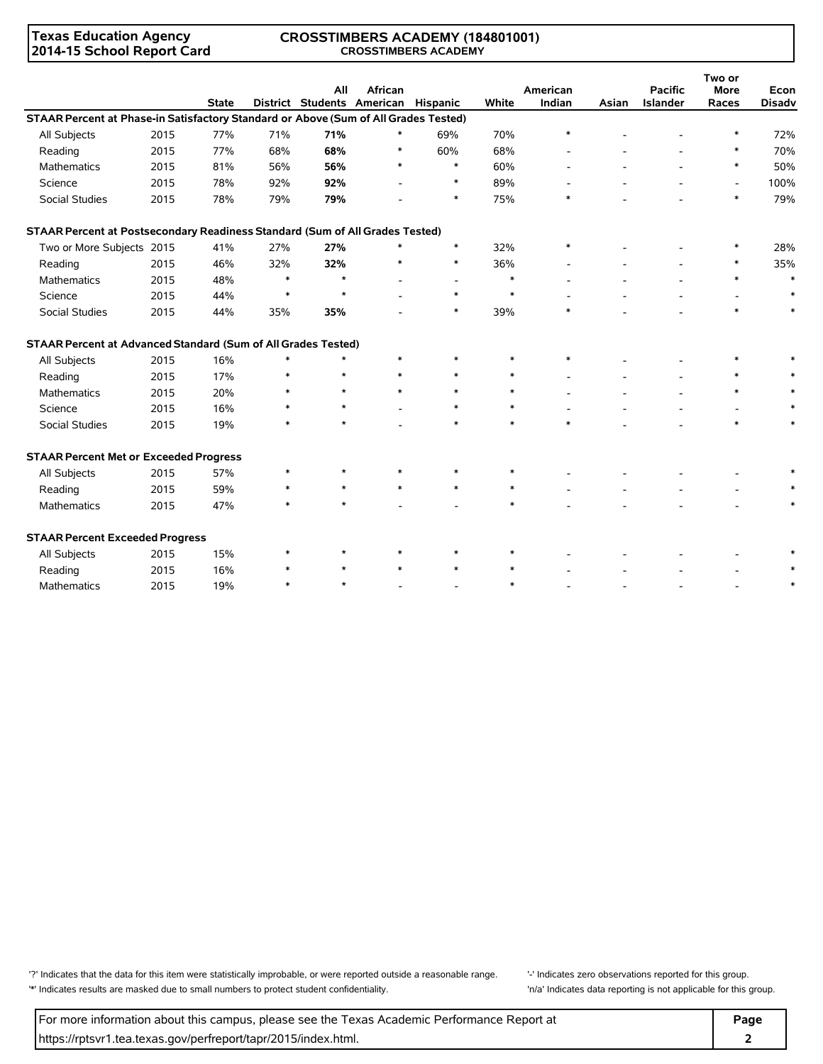### **Texas Education Agency 2014-15 School Report Card**

#### **CROSSTIMBERS ACADEMY (184801001) CROSSTIMBERS ACADEMY**

|                                                                                     |      | <b>State</b> |        | All     | <b>African</b><br>District Students American Hispanic |                          | White  | American<br>Indian | Asian | <b>Pacific</b><br><b>Islander</b> | Two or<br><b>More</b><br>Races | Econ<br><b>Disadv</b> |
|-------------------------------------------------------------------------------------|------|--------------|--------|---------|-------------------------------------------------------|--------------------------|--------|--------------------|-------|-----------------------------------|--------------------------------|-----------------------|
| STAAR Percent at Phase-in Satisfactory Standard or Above (Sum of All Grades Tested) |      |              |        |         |                                                       |                          |        |                    |       |                                   |                                |                       |
| All Subjects                                                                        | 2015 | 77%          | 71%    | 71%     |                                                       | 69%                      | 70%    | $\ast$             |       |                                   | $\ast$                         | 72%                   |
| Reading                                                                             | 2015 | 77%          | 68%    | 68%     | $\ast$                                                | 60%                      | 68%    |                    |       |                                   | $\ast$                         | 70%                   |
| <b>Mathematics</b>                                                                  | 2015 | 81%          | 56%    | 56%     | $\ast$                                                | $\ast$                   | 60%    |                    |       |                                   | $\ast$                         | 50%                   |
| Science                                                                             | 2015 | 78%          | 92%    | 92%     |                                                       | $\ast$                   | 89%    |                    |       |                                   | $\overline{\phantom{a}}$       | 100%                  |
| <b>Social Studies</b>                                                               | 2015 | 78%          | 79%    | 79%     |                                                       | $\ast$                   | 75%    | *                  |       |                                   | *                              | 79%                   |
| STAAR Percent at Postsecondary Readiness Standard (Sum of All Grades Tested)        |      |              |        |         |                                                       |                          |        |                    |       |                                   |                                |                       |
| Two or More Subjects 2015                                                           |      | 41%          | 27%    | 27%     | $\ast$                                                | $\ast$                   | 32%    | $\ast$             |       |                                   | $\ast$                         | 28%                   |
| Reading                                                                             | 2015 | 46%          | 32%    | 32%     | $\ast$                                                | $\ast$                   | 36%    |                    |       |                                   | *                              | 35%                   |
| <b>Mathematics</b>                                                                  | 2015 | 48%          | $\ast$ | $\star$ |                                                       | $\overline{\phantom{a}}$ | $\ast$ |                    |       |                                   | $\ast$                         | $\ast$                |
| Science                                                                             | 2015 | 44%          | $\ast$ | $\star$ |                                                       | $\ast$                   | $\ast$ |                    |       |                                   |                                | $\ast$                |
| Social Studies                                                                      | 2015 | 44%          | 35%    | 35%     |                                                       | $\ast$                   | 39%    | $\ast$             |       |                                   | $\ast$                         | $\ast$                |
| STAAR Percent at Advanced Standard (Sum of All Grades Tested)                       |      |              |        |         |                                                       |                          |        |                    |       |                                   |                                |                       |
| All Subjects                                                                        | 2015 | 16%          | $\ast$ | $\star$ | $\ast$                                                | $\ast$                   | $\ast$ | $\ast$             |       |                                   | $\ast$                         |                       |
| Reading                                                                             | 2015 | 17%          | $\ast$ | $\star$ | $\ast$                                                | $\ast$                   | $\ast$ |                    |       |                                   | $\ast$                         |                       |
| <b>Mathematics</b>                                                                  | 2015 | 20%          |        | $\star$ | $\ast$                                                | $\ast$                   | $\ast$ |                    |       |                                   | *                              |                       |
| Science                                                                             | 2015 | 16%          | $\ast$ | $\star$ |                                                       | $\ast$                   | $\ast$ |                    |       |                                   |                                |                       |
| Social Studies                                                                      | 2015 | 19%          | $\ast$ | $\star$ |                                                       | $\ast$                   | $\ast$ | $\ast$             |       |                                   | $\ast$                         | $\ast$                |
| <b>STAAR Percent Met or Exceeded Progress</b>                                       |      |              |        |         |                                                       |                          |        |                    |       |                                   |                                |                       |
| All Subjects                                                                        | 2015 | 57%          | $\ast$ |         | $\ast$                                                | $\ast$                   | $\ast$ |                    |       |                                   |                                |                       |
| Reading                                                                             | 2015 | 59%          | $\ast$ | $\star$ | $\ast$                                                | $\ast$                   | $\ast$ |                    |       |                                   |                                |                       |
| Mathematics                                                                         | 2015 | 47%          | $\ast$ |         |                                                       |                          | $\ast$ |                    |       |                                   |                                | $\ast$                |
| <b>STAAR Percent Exceeded Progress</b>                                              |      |              |        |         |                                                       |                          |        |                    |       |                                   |                                |                       |
| All Subjects                                                                        | 2015 | 15%          | *      | $\star$ | $\ast$                                                | $\ast$                   |        |                    |       |                                   |                                |                       |
| Reading                                                                             | 2015 | 16%          | $\ast$ |         |                                                       | $\ast$                   | $\ast$ |                    |       |                                   |                                |                       |
| Mathematics                                                                         | 2015 | 19%          | $\ast$ |         |                                                       |                          | $\ast$ |                    |       |                                   |                                |                       |

'?' Indicates that the data for this item were statistically improbable, or were reported outside a reasonable range. '' Indicates zero observations reported for this group. '\*' Indicates results are masked due to small numbers to protect student confidentiality. 'n/a' Indicates data reporting is not applicable for this group.

For more information about this campus, please see the Texas Academic Performance Report at **Page Page** https://rptsvr1.tea.texas.gov/perfreport/tapr/2015/index.html. **2**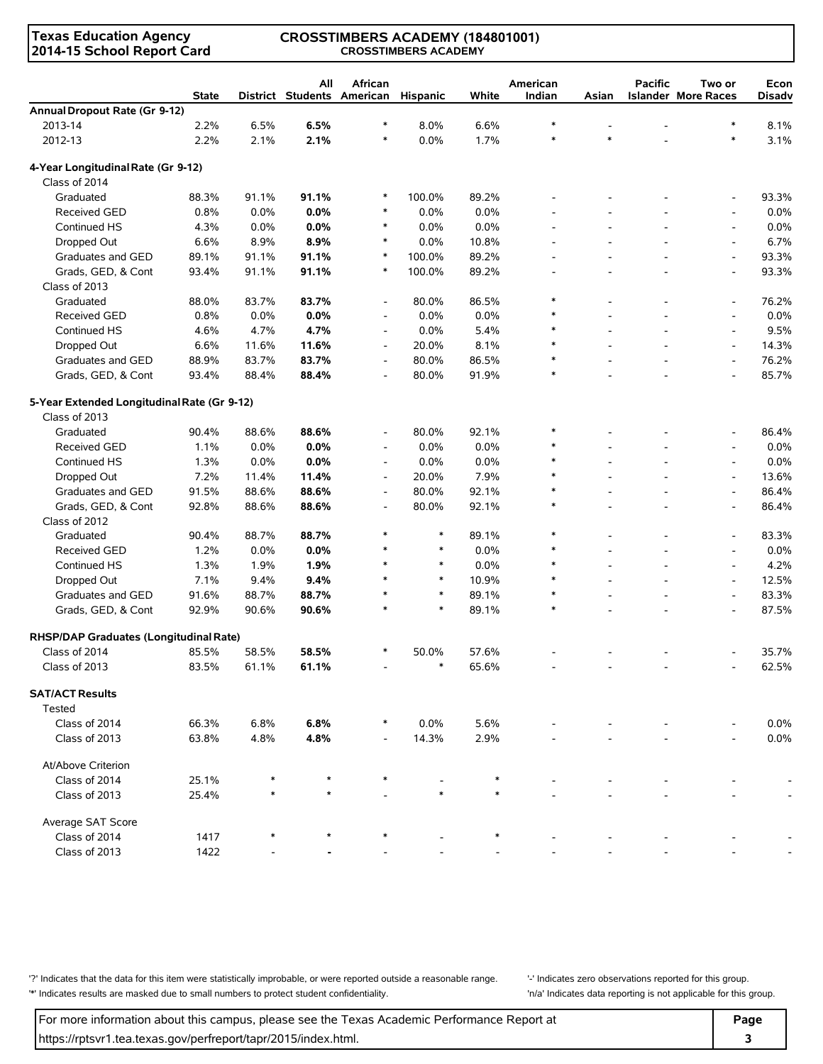**Texas Education Agency 2014-15 School Report Card**

#### **CROSSTIMBERS ACADEMY (184801001) CROSSTIMBERS ACADEMY**

|                                             | <b>State</b> |       | All<br>District Students American | African                  | Hispanic | White   | American<br>Indian | Asian          | <b>Pacific</b> | Two or<br><b>Islander More Races</b> | Econ<br><b>Disadv</b> |
|---------------------------------------------|--------------|-------|-----------------------------------|--------------------------|----------|---------|--------------------|----------------|----------------|--------------------------------------|-----------------------|
| Annual Dropout Rate (Gr 9-12)               |              |       |                                   |                          |          |         |                    |                |                |                                      |                       |
| 2013-14                                     | 2.2%         | 6.5%  | 6.5%                              | *                        | 8.0%     | 6.6%    | $\ast$             |                |                | $\ast$                               | 8.1%                  |
| 2012-13                                     | 2.2%         | 2.1%  | 2.1%                              | $\ast$                   | 0.0%     | 1.7%    | $\ast$             | $\ast$         |                | $\ast$                               | 3.1%                  |
| 4-Year Longitudinal Rate (Gr 9-12)          |              |       |                                   |                          |          |         |                    |                |                |                                      |                       |
| Class of 2014                               |              |       |                                   |                          |          |         |                    |                |                |                                      |                       |
| Graduated                                   | 88.3%        | 91.1% | 91.1%                             | $\ast$                   | 100.0%   | 89.2%   |                    |                |                |                                      | 93.3%                 |
| Received GED                                | 0.8%         | 0.0%  | 0.0%                              | $\ast$                   | 0.0%     | 0.0%    |                    |                |                | $\overline{\phantom{a}}$             | 0.0%                  |
| Continued HS                                | 4.3%         | 0.0%  | 0.0%                              | $\ast$                   | 0.0%     | 0.0%    |                    |                |                | $\blacksquare$                       | 0.0%                  |
| Dropped Out                                 | 6.6%         | 8.9%  | 8.9%                              | $\ast$                   | $0.0\%$  | 10.8%   |                    |                |                | $\blacksquare$                       | 6.7%                  |
| Graduates and GED                           | 89.1%        | 91.1% | 91.1%                             | $\ast$                   | 100.0%   | 89.2%   |                    |                |                | $\overline{\phantom{a}}$             | 93.3%                 |
| Grads, GED, & Cont                          | 93.4%        | 91.1% | 91.1%                             | $\ast$                   | 100.0%   | 89.2%   | $\overline{a}$     | $\overline{a}$ | $\overline{a}$ | $\overline{\phantom{a}}$             | 93.3%                 |
| Class of 2013                               |              |       |                                   |                          |          |         |                    |                |                |                                      |                       |
| Graduated                                   | 88.0%        | 83.7% | 83.7%                             | $\overline{\phantom{a}}$ | 80.0%    | 86.5%   | $\ast$             |                |                | $\overline{\phantom{a}}$             | 76.2%                 |
| <b>Received GED</b>                         | 0.8%         | 0.0%  | 0.0%                              | $\overline{\phantom{a}}$ | 0.0%     | $0.0\%$ | $\ast$             |                |                | $\overline{a}$                       | 0.0%                  |
| Continued HS                                | 4.6%         | 4.7%  | 4.7%                              | $\overline{\phantom{a}}$ | $0.0\%$  | 5.4%    | $\ast$             |                |                | $\blacksquare$                       | 9.5%                  |
| Dropped Out                                 | 6.6%         | 11.6% | 11.6%                             | $\overline{\phantom{a}}$ | 20.0%    | 8.1%    | $\ast$             |                |                | $\overline{\phantom{a}}$             | 14.3%                 |
| Graduates and GED                           | 88.9%        | 83.7% | 83.7%                             | $\overline{\phantom{a}}$ | 80.0%    | 86.5%   | $\ast$             |                |                | $\overline{\phantom{a}}$             | 76.2%                 |
| Grads, GED, & Cont                          | 93.4%        | 88.4% | 88.4%                             | $\overline{\phantom{a}}$ | 80.0%    | 91.9%   | $\ast$             |                |                | $\overline{\phantom{a}}$             | 85.7%                 |
| 5-Year Extended Longitudinal Rate (Gr 9-12) |              |       |                                   |                          |          |         |                    |                |                |                                      |                       |
| Class of 2013                               |              |       |                                   |                          |          |         |                    |                |                |                                      |                       |
| Graduated                                   | 90.4%        | 88.6% | 88.6%                             | $\overline{\phantom{a}}$ | 80.0%    | 92.1%   | $\ast$             |                |                | $\overline{\phantom{a}}$             | 86.4%                 |
| <b>Received GED</b>                         | 1.1%         | 0.0%  | 0.0%                              | $\overline{\phantom{a}}$ | 0.0%     | 0.0%    | $\ast$             |                |                | $\overline{\phantom{a}}$             | 0.0%                  |
| Continued HS                                | 1.3%         | 0.0%  | 0.0%                              | $\overline{\phantom{a}}$ | 0.0%     | 0.0%    | $\ast$             |                |                | $\overline{\phantom{a}}$             | 0.0%                  |
| Dropped Out                                 | 7.2%         | 11.4% | 11.4%                             | $\overline{\phantom{a}}$ | 20.0%    | 7.9%    | $\ast$             |                |                | $\overline{\phantom{a}}$             | 13.6%                 |
| Graduates and GED                           | 91.5%        | 88.6% | 88.6%                             | $\overline{\phantom{a}}$ | 80.0%    | 92.1%   | $\ast$             |                |                | $\blacksquare$                       | 86.4%                 |
| Grads, GED, & Cont                          | 92.8%        | 88.6% | 88.6%                             | $\overline{\phantom{a}}$ | 80.0%    | 92.1%   | $\ast$             |                |                | $\overline{\phantom{a}}$             | 86.4%                 |
| Class of 2012                               |              |       |                                   |                          |          |         |                    |                |                |                                      |                       |
| Graduated                                   | 90.4%        | 88.7% | 88.7%                             | *                        | $\ast$   | 89.1%   | $\ast$             |                |                | $\overline{\phantom{a}}$             | 83.3%                 |
| <b>Received GED</b>                         | 1.2%         | 0.0%  | 0.0%                              | *                        | $\ast$   | 0.0%    | $\ast$             |                |                | $\overline{\phantom{a}}$             | 0.0%                  |
| Continued HS                                | 1.3%         | 1.9%  | 1.9%                              | $\ast$                   | $\ast$   | 0.0%    | $\ast$             |                |                | $\blacksquare$                       | 4.2%                  |
| Dropped Out                                 | 7.1%         | 9.4%  | 9.4%                              | $\ast$                   | $\ast$   | 10.9%   | $\ast$             |                |                | $\overline{\phantom{a}}$             | 12.5%                 |
| Graduates and GED                           | 91.6%        | 88.7% | 88.7%                             | $\ast$                   | $\ast$   | 89.1%   | $\ast$             |                |                | $\overline{\phantom{a}}$             | 83.3%                 |
| Grads, GED, & Cont                          | 92.9%        | 90.6% | 90.6%                             | $\ast$                   | $\ast$   | 89.1%   | $\ast$             |                |                | $\overline{\phantom{a}}$             | 87.5%                 |
| RHSP/DAP Graduates (Longitudinal Rate)      |              |       |                                   |                          |          |         |                    |                |                |                                      |                       |
| Class of 2014                               | 85.5%        | 58.5% | 58.5%                             | $\ast$                   | 50.0%    | 57.6%   |                    |                |                |                                      | 35.7%                 |
| Class of 2013                               | 83.5%        | 61.1% | 61.1%                             |                          | $\ast$   | 65.6%   |                    |                |                |                                      | 62.5%                 |
| <b>SAT/ACT Results</b>                      |              |       |                                   |                          |          |         |                    |                |                |                                      |                       |
| <b>Tested</b>                               |              |       |                                   |                          |          |         |                    |                |                |                                      |                       |
| Class of 2014                               | 66.3%        | 6.8%  | 6.8%                              |                          | $0.0\%$  | 5.6%    |                    |                |                |                                      | 0.0%                  |
| Class of 2013                               | 63.8%        | 4.8%  | 4.8%                              |                          | 14.3%    | 2.9%    |                    |                |                |                                      | 0.0%                  |
| At/Above Criterion                          |              |       |                                   |                          |          |         |                    |                |                |                                      |                       |
| Class of 2014                               | 25.1%        |       |                                   |                          |          |         |                    |                |                |                                      |                       |
| Class of 2013                               | 25.4%        |       |                                   |                          |          |         |                    |                |                |                                      |                       |
| Average SAT Score                           |              |       |                                   |                          |          |         |                    |                |                |                                      |                       |
| Class of 2014                               | 1417         |       |                                   |                          |          |         |                    |                |                |                                      |                       |
| Class of 2013                               | 1422         |       |                                   |                          |          |         |                    |                |                |                                      |                       |

'?' Indicates that the data for this item were statistically improbable, or were reported outside a reasonable range. | locates zero observations reported for this group. '\*' Indicates results are masked due to small numbers to protect student confidentiality. 'n/a' Indicates data reporting is not applicable for this group.

For more information about this campus, please see the Texas Academic Performance Report at **Page Page** https://rptsvr1.tea.texas.gov/perfreport/tapr/2015/index.html. **3**